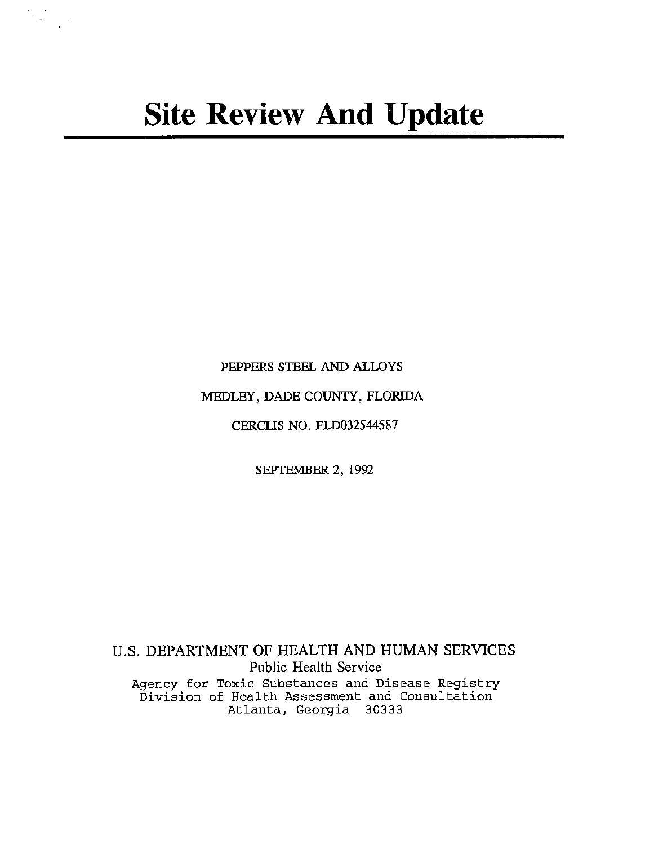PEPPERS STEEL AND ALLOYS

MEDLEY, DADE COUNTY, FLORIDA

CERCLIS NO. FLD032544587

SEPTEMBER 2, 1992

U.S. DEPARTMENT OF HEALTH AND HUMAN SERVICES Public Health Service Agency for Toxic Substances and Disease Registry Division of Health Assessment and Consultation Atlanta, Georgia 30333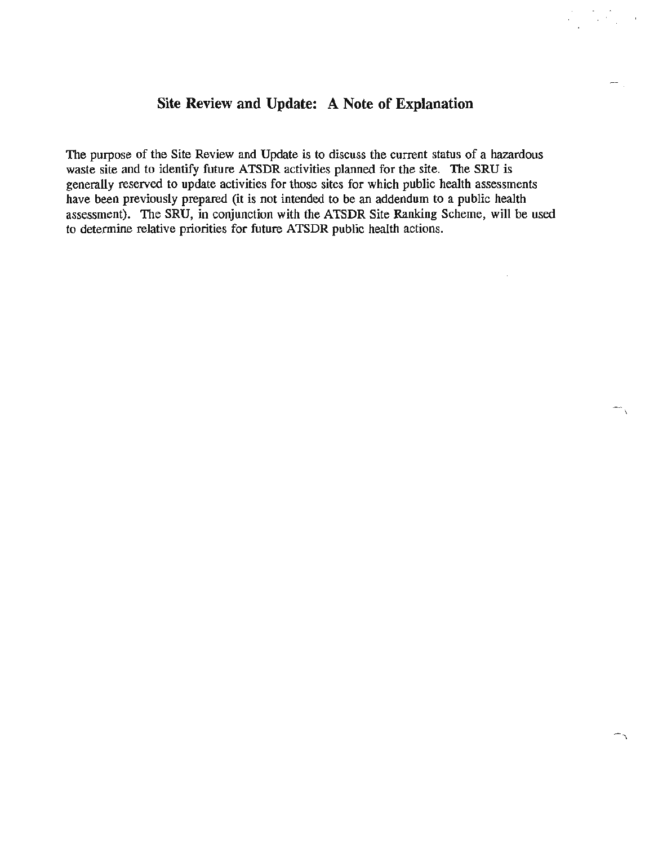# **Site Review and Update: A Note of Explanation**

The purpose of the Site Review and Update is to discuss the current status of a hazardous waste site and to identify future ATSDR activities planned for the site. The SRU is generally reserved to update activities for those sites for which public health assessments have been previously prepared (it is not intended to be an addendum to a public health assessment). The SRU, in conjunction with the ATSDR Site Ranking Scheme, will be used to determine relative priorities for future ATSDR public health actions.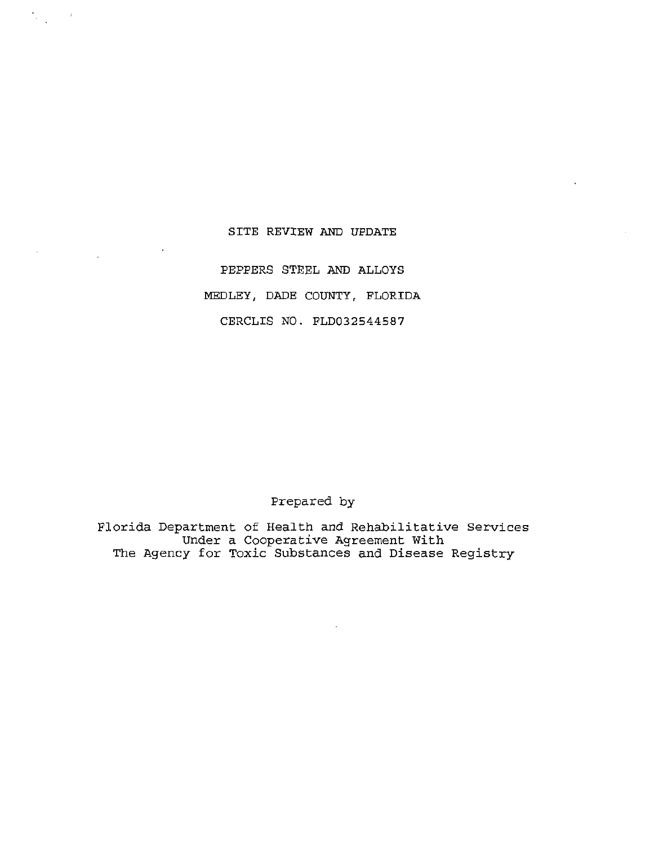### SITE REVIEW AND UPDATE

 $\sum_{\alpha\in\mathcal{A}}\alpha_{\alpha\beta}$ 

PEPPERS STEEL AND ALLOYS MEDLEY, DADE COUNTY, FLORIDA CERCLIS NO. FLD032544587

## Prepared by

Florida Department of Health and Rehabilitative Services Under a Cooperative Agreement With The Agency for Toxic Substances and Disease Registry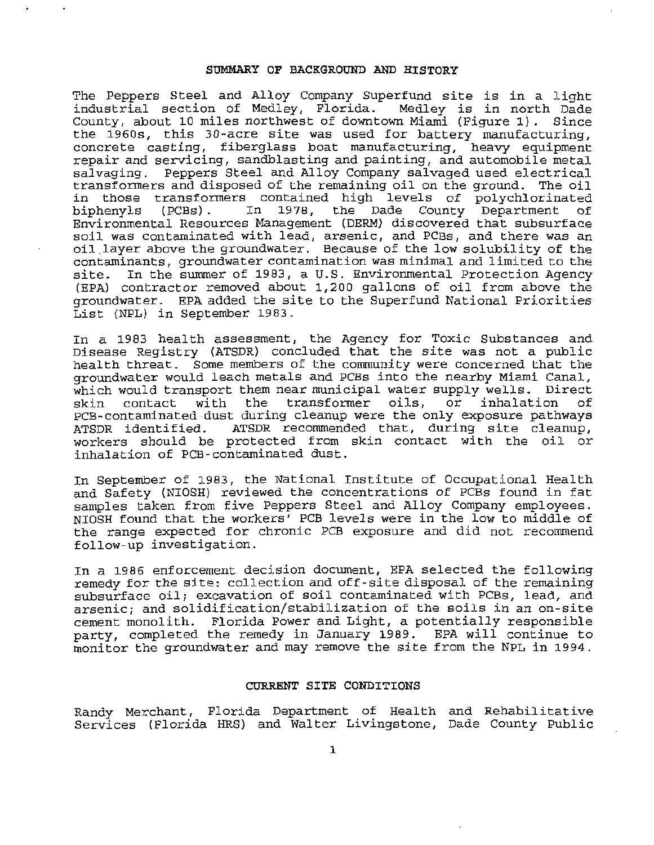#### SUMMARY OF BACKGROUND AND HISTORY

The Peppers Steel and Alloy Company Superfund site is in a light industrial section of Medley, Florida . Medley is in north Dade County, about 10 miles northwest of downtown Miami (Figure 1). Since the 1960s, this 30-acre site was used for battery manufacturing, concrete casting, fiberglass boat manufacturing, heavy equipment repair and servicing, sandblasting and painting, and automobile metal salvaging. Peppers Steel and Alloy Company salvaged used electrical transformers and disposed of the remaining oil on the ground. The oil in those transformers contained high levels of polychlorinated<br>biphenyls (PCBs). In 1978, the Dade County Department of County Department Environmental Resources Management (DERM) discovered that subsurface soil was contaminated with lead, arsenic, and PCBs, and there was an oil layer above the groundwater. Because of the low solubility of the contaminants, groundwater contamination was minimal and limited to the In the summer of 1983, a U.S. Environmental Protection Agency (EPA) contractor removed about 1,200 gallons of oil from above the groundwater. EPA added the site to the Superfund National Priorities List (NPL) in September 1983.

In a 1983 health assessment, the Agency for Toxic Substances and Disease Registry (ATSDR) concluded that the site was not a public health threat. Some members of the community were concerned that the groundwater would leach metals and PCBs into the nearby Miami Canal, which would transport them near municipal water supply wells. Direct skin contact with the transformer oils, or inhalation of skin contact with the transformer oils, or inhalation of<br>PCB-contaminated dust during cleanup were the only exposure pathways<br>ATSDR identified. ATSDR recommended that, during site cleanup. ATSDR recommended that, during site cleanup, workers should be protected from skin contact with the oil or inhalation of PCB-contaminated dust.

In September of 1983, the National Institute of Occupational Health and Safety (NIOSH) reviewed the concentrations of PCBs found in fat samples taken from five Peppers Steel and Alloy Company employees. NIOSH found that the workers' PCB levels were in the low to middle of the range expected for chronic PCB exposure and did not recommend follow-up investigation.

In a 1986 enforcement decision document, EPA selected the following remedy for the site: collection and off-site disposal of the remaining subsurface oil; excavation of soil contaminated with PCBs, lead, and arsenic; and solidification/stabilization of the soils in an on-site cement monolith. Florida Power and Light, a potentially responsible party, completed the remedy in January 1989. EPA will continue to monitor the groundwater and may remove the site from the NPL in 1994.

#### CURRENT SITE CONDITIONS

Randy Merchant, Florida Department of Health and Rehabilitative Services (Florida HRS) and Walter Livingstone, Dade County Public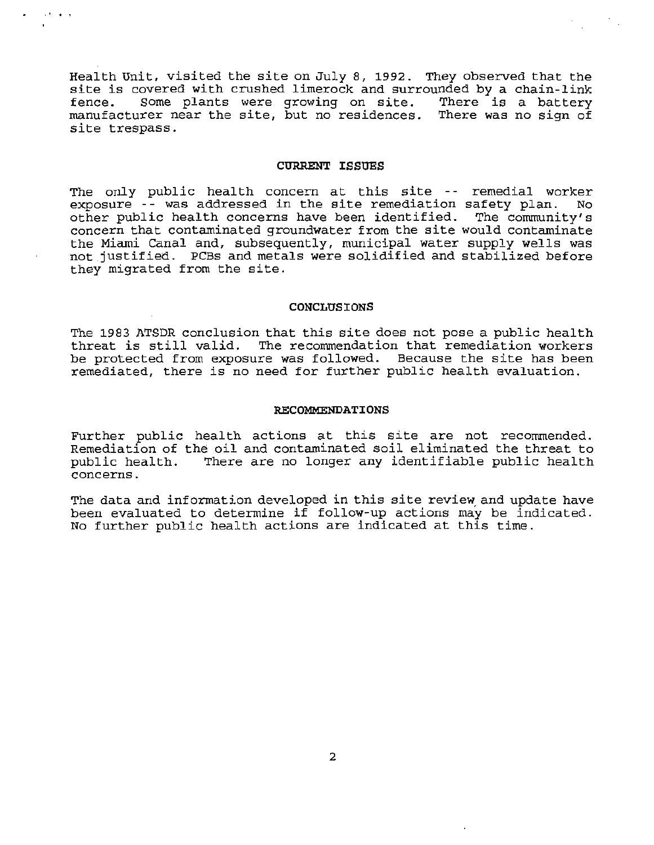Health Unit, visited the site on July 8, 1992. They observed that the site is covered with crushed limerock and surrounded by a chain-link fence. Some plants were growing on site. There is a battery manufacturer near the site, but no residences. There was no sign of site trespass.

. .

#### **CURRENT ISSUES**

The only public health concern at this site -- remedial worker exposure -- was addressed in the site remediation safety plan. No other public health concerns have been identified. The community's concern that contaminated groundwater from the site would contaminate the Miami Canal and, subsequently, municipal water supply wells was not justified. PCBs and metals were solidified and stabilized before they migrated from the site.

#### **CONCLUSIONS**

The 1983 ATSDR conclusion that this site does not pose a public health threat is still valid. The recommendation that remediation workers be protected from exposure was followed. Because the site has been remediated, there is no need for further public health evaluation.

#### **RECOMMENDATIONS**

Further public health actions at this site are not recommended. Remediation of the oil and contaminated soil eliminated the threat to public health. There are no longer any identifiable public health concerns.

The data and information developed in this site review, and update have been evaluated to determine if follow-up actions may be indicated. No further public health actions are indicated at this time.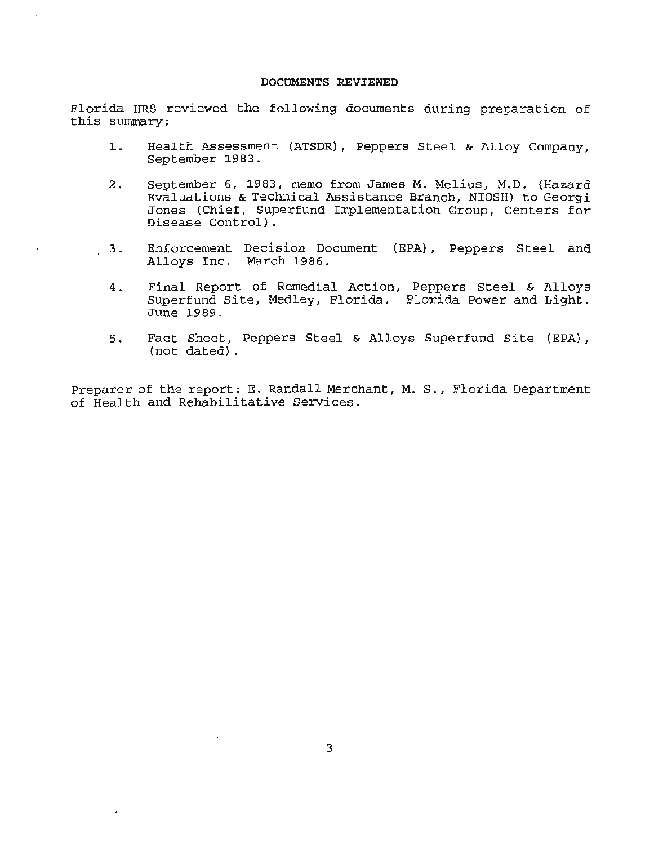#### **DOCUMENTS REVIEWED**

Florida HRS reviewed the following documents during preparation of this summary:

- 1. Health Assessment (ATSDR), Peppers Steel & Alloy Company, September 1983.
- 2. September 6, 1983, memo from James M. Melius, M.D. (Hazard Evaluations & Technical Assistance Branch, NIOSH) to Georgi Jones (Chief, Superfund Implementation Group, Centers for Disease Control).
- 3 . Enforcement Decision Document (EPA} , Peppers Steel and Alloys Inc. March 1986.
- 4. Final Report of Remedial Action, Peppers Steel & Alloys Superfund Site, Medley, Florida. Florida Power and Light. June 1989.
- 5. Fact Sheet, Peppers Steel & Alloys Superfund Site (EPA), (not dated) .

Preparer of the report: E. Randall Merchant, M. S., Florida Department of Health and Rehabilitative Services.